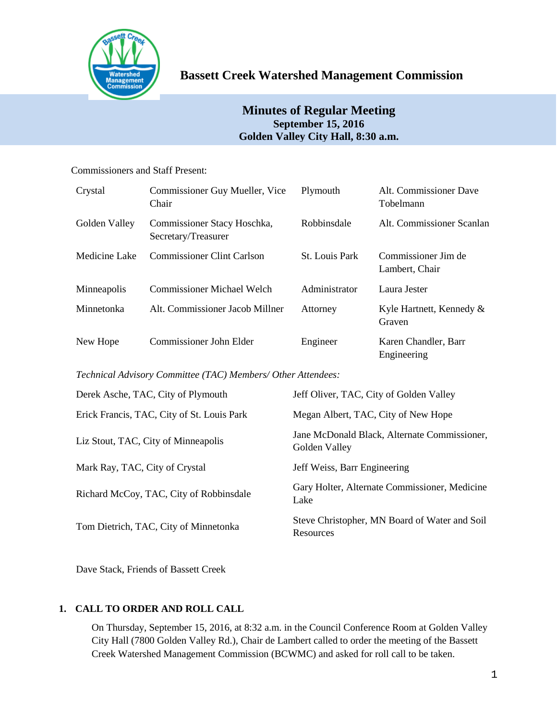

# **Bassett Creek Watershed Management Commission**

## **Minutes of Regular Meeting September 15, 2016 Golden Valley City Hall, 8:30 a.m.**

## Commissioners and Staff Present:

| Crystal       | Commissioner Guy Mueller, Vice<br>Chair            | Plymouth              | Alt. Commissioner Dave<br>Tobelmann   |
|---------------|----------------------------------------------------|-----------------------|---------------------------------------|
| Golden Valley | Commissioner Stacy Hoschka,<br>Secretary/Treasurer | Robbinsdale           | Alt. Commissioner Scanlan             |
| Medicine Lake | <b>Commissioner Clint Carlson</b>                  | <b>St. Louis Park</b> | Commissioner Jim de<br>Lambert, Chair |
| Minneapolis   | Commissioner Michael Welch                         | Administrator         | Laura Jester                          |
| Minnetonka    | Alt. Commissioner Jacob Millner                    | Attorney              | Kyle Hartnett, Kennedy &<br>Graven    |
| New Hope      | Commissioner John Elder                            | Engineer              | Karen Chandler, Barr<br>Engineering   |

*Technical Advisory Committee (TAC) Members/ Other Attendees:*

| Derek Asche, TAC, City of Plymouth         | Jeff Oliver, TAC, City of Golden Valley                       |
|--------------------------------------------|---------------------------------------------------------------|
| Erick Francis, TAC, City of St. Louis Park | Megan Albert, TAC, City of New Hope                           |
| Liz Stout, TAC, City of Minneapolis        | Jane McDonald Black, Alternate Commissioner,<br>Golden Valley |
| Mark Ray, TAC, City of Crystal             | Jeff Weiss, Barr Engineering                                  |
| Richard McCoy, TAC, City of Robbinsdale    | Gary Holter, Alternate Commissioner, Medicine<br>Lake         |
| Tom Dietrich, TAC, City of Minnetonka      | Steve Christopher, MN Board of Water and Soil<br>Resources    |

Dave Stack, Friends of Bassett Creek

## **1. CALL TO ORDER AND ROLL CALL**

On Thursday, September 15, 2016, at 8:32 a.m. in the Council Conference Room at Golden Valley City Hall (7800 Golden Valley Rd.), Chair de Lambert called to order the meeting of the Bassett Creek Watershed Management Commission (BCWMC) and asked for roll call to be taken.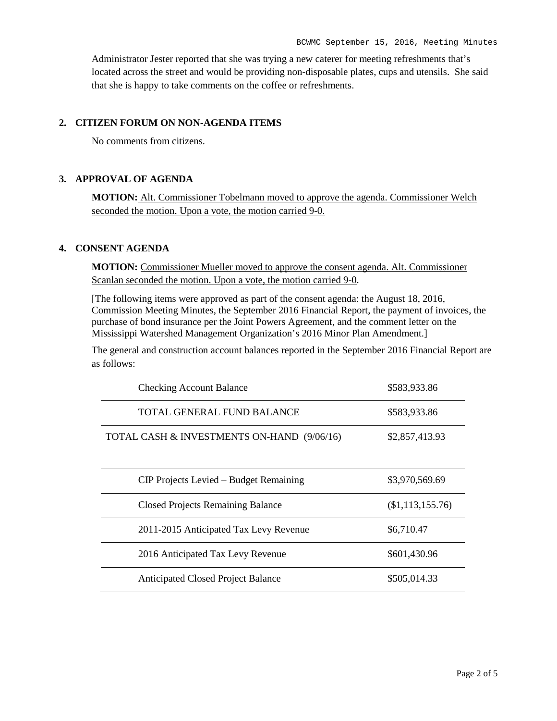Administrator Jester reported that she was trying a new caterer for meeting refreshments that's located across the street and would be providing non-disposable plates, cups and utensils. She said that she is happy to take comments on the coffee or refreshments.

#### **2. CITIZEN FORUM ON NON-AGENDA ITEMS**

No comments from citizens.

#### **3. APPROVAL OF AGENDA**

**MOTION:** Alt. Commissioner Tobelmann moved to approve the agenda. Commissioner Welch seconded the motion. Upon a vote, the motion carried 9-0.

### **4. CONSENT AGENDA**

**MOTION:** Commissioner Mueller moved to approve the consent agenda. Alt. Commissioner Scanlan seconded the motion. Upon a vote, the motion carried 9-0.

[The following items were approved as part of the consent agenda: the August 18, 2016, Commission Meeting Minutes, the September 2016 Financial Report, the payment of invoices, the purchase of bond insurance per the Joint Powers Agreement, and the comment letter on the Mississippi Watershed Management Organization's 2016 Minor Plan Amendment.]

The general and construction account balances reported in the September 2016 Financial Report are as follows:

| <b>Checking Account Balance</b>            | \$583,933.86     |
|--------------------------------------------|------------------|
| TOTAL GENERAL FUND BALANCE                 | \$583,933.86     |
| TOTAL CASH & INVESTMENTS ON-HAND (9/06/16) | \$2,857,413.93   |
| CIP Projects Levied – Budget Remaining     | \$3,970,569.69   |
| <b>Closed Projects Remaining Balance</b>   | (\$1,113,155.76) |
| 2011-2015 Anticipated Tax Levy Revenue     | \$6,710.47       |
| 2016 Anticipated Tax Levy Revenue          | \$601,430.96     |
| <b>Anticipated Closed Project Balance</b>  | \$505,014.33     |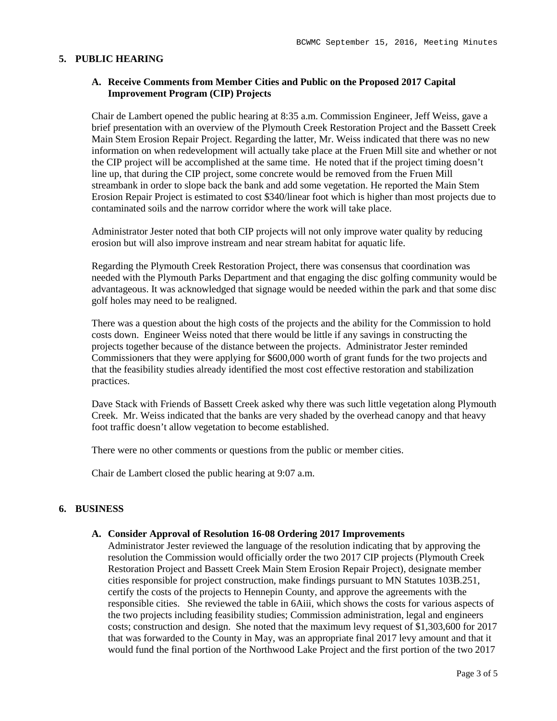### **5. PUBLIC HEARING**

## **A. Receive Comments from Member Cities and Public on the Proposed 2017 Capital Improvement Program (CIP) Projects**

Chair de Lambert opened the public hearing at 8:35 a.m. Commission Engineer, Jeff Weiss, gave a brief presentation with an overview of the Plymouth Creek Restoration Project and the Bassett Creek Main Stem Erosion Repair Project. Regarding the latter, Mr. Weiss indicated that there was no new information on when redevelopment will actually take place at the Fruen Mill site and whether or not the CIP project will be accomplished at the same time. He noted that if the project timing doesn't line up, that during the CIP project, some concrete would be removed from the Fruen Mill streambank in order to slope back the bank and add some vegetation. He reported the Main Stem Erosion Repair Project is estimated to cost \$340/linear foot which is higher than most projects due to contaminated soils and the narrow corridor where the work will take place.

Administrator Jester noted that both CIP projects will not only improve water quality by reducing erosion but will also improve instream and near stream habitat for aquatic life.

Regarding the Plymouth Creek Restoration Project, there was consensus that coordination was needed with the Plymouth Parks Department and that engaging the disc golfing community would be advantageous. It was acknowledged that signage would be needed within the park and that some disc golf holes may need to be realigned.

There was a question about the high costs of the projects and the ability for the Commission to hold costs down. Engineer Weiss noted that there would be little if any savings in constructing the projects together because of the distance between the projects. Administrator Jester reminded Commissioners that they were applying for \$600,000 worth of grant funds for the two projects and that the feasibility studies already identified the most cost effective restoration and stabilization practices.

Dave Stack with Friends of Bassett Creek asked why there was such little vegetation along Plymouth Creek. Mr. Weiss indicated that the banks are very shaded by the overhead canopy and that heavy foot traffic doesn't allow vegetation to become established.

There were no other comments or questions from the public or member cities.

Chair de Lambert closed the public hearing at 9:07 a.m.

#### **6. BUSINESS**

#### **A. Consider Approval of Resolution 16-08 Ordering 2017 Improvements**

Administrator Jester reviewed the language of the resolution indicating that by approving the resolution the Commission would officially order the two 2017 CIP projects (Plymouth Creek Restoration Project and Bassett Creek Main Stem Erosion Repair Project), designate member cities responsible for project construction, make findings pursuant to MN Statutes 103B.251, certify the costs of the projects to Hennepin County, and approve the agreements with the responsible cities. She reviewed the table in 6Aiii, which shows the costs for various aspects of the two projects including feasibility studies; Commission administration, legal and engineers costs; construction and design. She noted that the maximum levy request of \$1,303,600 for 2017 that was forwarded to the County in May, was an appropriate final 2017 levy amount and that it would fund the final portion of the Northwood Lake Project and the first portion of the two 2017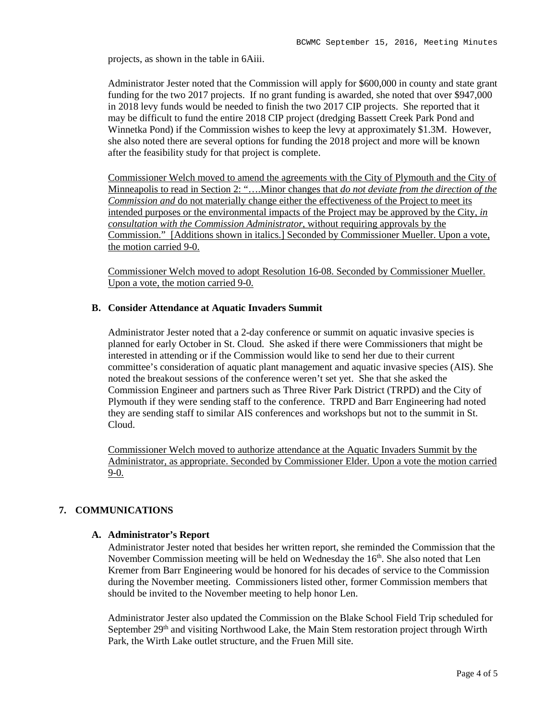projects, as shown in the table in 6Aiii.

Administrator Jester noted that the Commission will apply for \$600,000 in county and state grant funding for the two 2017 projects. If no grant funding is awarded, she noted that over \$947,000 in 2018 levy funds would be needed to finish the two 2017 CIP projects. She reported that it may be difficult to fund the entire 2018 CIP project (dredging Bassett Creek Park Pond and Winnetka Pond) if the Commission wishes to keep the levy at approximately \$1.3M. However, she also noted there are several options for funding the 2018 project and more will be known after the feasibility study for that project is complete.

Commissioner Welch moved to amend the agreements with the City of Plymouth and the City of Minneapolis to read in Section 2: "….Minor changes that *do not deviate from the direction of the Commission and* do not materially change either the effectiveness of the Project to meet its intended purposes or the environmental impacts of the Project may be approved by the City, *in consultation with the Commission Administrator*, without requiring approvals by the Commission." [Additions shown in italics.] Seconded by Commissioner Mueller. Upon a vote, the motion carried 9-0.

Commissioner Welch moved to adopt Resolution 16-08. Seconded by Commissioner Mueller. Upon a vote, the motion carried 9-0.

#### **B. Consider Attendance at Aquatic Invaders Summit**

Administrator Jester noted that a 2-day conference or summit on aquatic invasive species is planned for early October in St. Cloud. She asked if there were Commissioners that might be interested in attending or if the Commission would like to send her due to their current committee's consideration of aquatic plant management and aquatic invasive species (AIS). She noted the breakout sessions of the conference weren't set yet. She that she asked the Commission Engineer and partners such as Three River Park District (TRPD) and the City of Plymouth if they were sending staff to the conference. TRPD and Barr Engineering had noted they are sending staff to similar AIS conferences and workshops but not to the summit in St. Cloud.

Commissioner Welch moved to authorize attendance at the Aquatic Invaders Summit by the Administrator, as appropriate. Seconded by Commissioner Elder. Upon a vote the motion carried 9-0.

## **7. COMMUNICATIONS**

#### **A. Administrator's Report**

Administrator Jester noted that besides her written report, she reminded the Commission that the November Commission meeting will be held on Wednesday the 16<sup>th</sup>. She also noted that Len Kremer from Barr Engineering would be honored for his decades of service to the Commission during the November meeting. Commissioners listed other, former Commission members that should be invited to the November meeting to help honor Len.

Administrator Jester also updated the Commission on the Blake School Field Trip scheduled for September 29<sup>th</sup> and visiting Northwood Lake, the Main Stem restoration project through Wirth Park, the Wirth Lake outlet structure, and the Fruen Mill site.